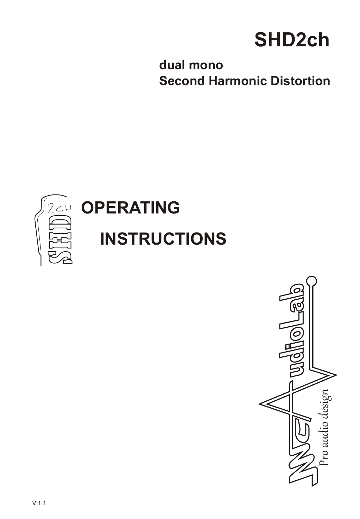# **SHD2ch**

**dual mono Second Harmonic Distortion**



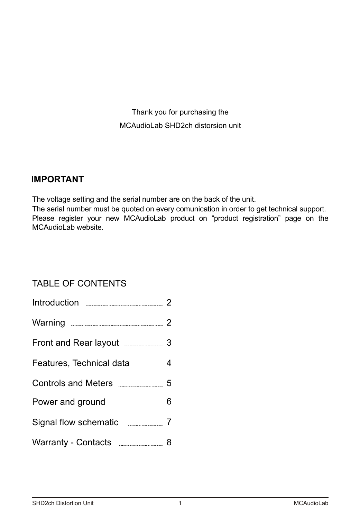Thank you for purchasing the MCAudioLab SHD2ch distorsion unit

# **IMPORTANT**

The voltage setting and the serial number are on the back of the unit.

The serial number must be quoted on every comunication in order to get technical support. Please register your new MCAudioLab product on "product registration" page on the MCAudioLab website.

# TABLE OF CONTENTS

| Introduction 2                       |  |
|--------------------------------------|--|
| Warning 2                            |  |
| Front and Rear layout 3              |  |
| Features, Technical data             |  |
| Controls and Meters ______________ 5 |  |
|                                      |  |
| Signal flow schematic __________ 7   |  |
| Warranty - Contacts ______________ 8 |  |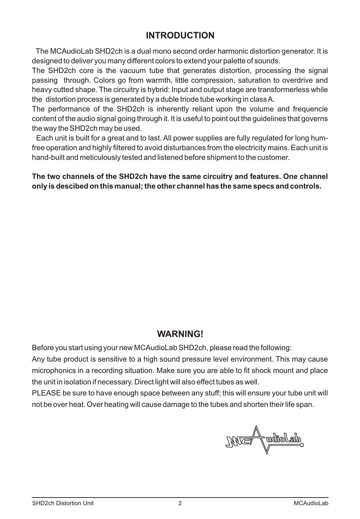# **INTRODUCTION**

The MCAudioLab SHD2ch is a dual mono second order harmonic distortion generator. It is designed to deliver you many different colors to extend your palette of sounds.

The SHD2ch core is the vacuum tube that generates distortion, processing the signal passing through. Colors go from warmth, little compression, saturation to overdrive and heavy cutted shape. The circuitry is hybrid: Input and output stage are transformerless while the distortion process is generated by a duble triode tube working in class A.

The performance of the SHD2ch is inherently reliant upon the volume and frequencie content of the audio signal going through it. It is useful to point out the guidelines that governs the way the SHD2ch may be used.

Each unit is built for a great and to last. All power supplies are fully regulated for long humfree operation and highly filtered to avoid disturbances from the electricity mains. Each unit is hand-built and meticulously tested and listened before shipment to the customer.

**The two channels of the SHD2ch have the same circuitry and features. One channel only is descibed on this manual; the other channel has the same specs and controls.**

## **WARNING!**

Before you start using your new MCAudioLab SHD2ch, please read the following:

Any tube product is sensitive to a high sound pressure level environment. This may cause microphonics in a recording situation. Make sure you are able to fit shock mount and place the unit in isolation if necessary. Direct light will also effect tubes as well.

PLEASE be sure to have enough space between any stuff; this will ensure your tube unit will not be over heat. Over heating will cause damage to the tubes and shorten their life span.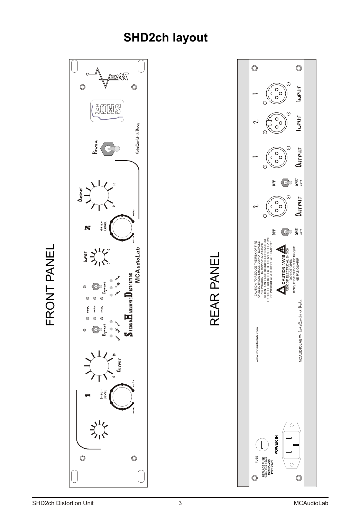# **SHD2ch layout**

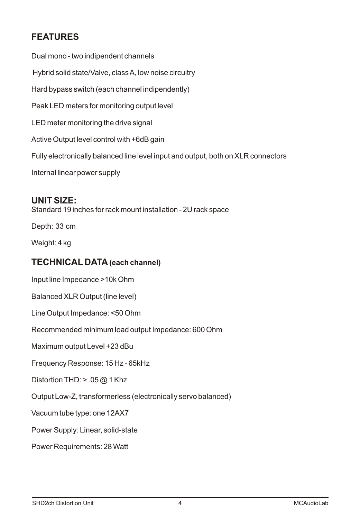# **FEATURES**

Dual mono - two indipendent channels Hybrid solid state/Valve, class A, low noise circuitry Hard bypass switch (each channel indipendently) Peak LED meters for monitoring output level LED meter monitoring the drive signal Active Output level control with +6dB gain Fully electronically balanced line level input and output, both on XLR connectors Internal linear power supply

### **UNIT SIZE:**

Standard 19 inches for rack mount installation-2U rack space

Depth: 33 cm

Weight: 4 kg

# **TECHNICAL DATA(each channel)**

Input line Impedance >10k Ohm

Balanced XLR Output (line level)

Line Output Impedance: <50 Ohm

Recommended minimum load output Impedance: 600 Ohm

Maximum output Level +23dBu

Frequency Response: 15 Hz - 65kHz

Distortion THD:  $> .05$  @ 1 Khz

Output Low-Z, transformerless (electronically servo balanced)

Vacuum tube type: one 12AX7

Power Supply: Linear, solid-state

Power Requirements:28 Watt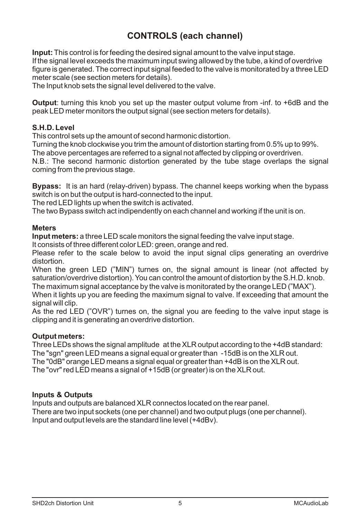# **CONTROLS (each channel)**

**Input:** This control is for feeding the desired signal amount to the valve input stage. If the signal level exceeds the maximum input swing allowed by the tube, a kind of overdrive figure is generated. The correct input signal feeded to the valve is monitorated by a three LED meter scale (see section meters for details).

The Input knob sets the signal level delivered to the valve.

**Output**: turning this knob you set up the master output volume from -inf. to +6dB and the peak LED meter monitors the output signal (see section meters for details).

#### **S.H.D. Level**

This control sets up the amount of second harmonic distortion.

Turning the knob clockwise you trim the amount of distortion starting from 0.5% up to 99%.

The above percentages are referred to a signal not affected by clipping or overdriven.

N.B.: The second harmonic distortion generated by the tube stage overlaps the signal coming from the previous stage.

**Bypass:** It is an hard (relay-driven) bypass. The channel keeps working when the bypass switch is on but the output is hard-connected to the input.

The red LED lights up when the switch is activated.

The two Bypass switch act indipendently on each channeland working if the unit is on.

#### **Meters**

**Input meters:**a three LED scale monitors the signal feeding the valve input stage.

It consists of three different color LED: green, orange and red.

Please refer to the scale below to avoid the input signal clips generating an overdrive distortion.

When the green LED ("MIN") turnes on, the signal amount is linear (not affected by saturation/overdrive distortion). You can control the amount of distortion by the S.H.D. knob. The maximum signal acceptance by the valve is monitorated by the orange LED ("MAX").

When it lights up you are feeding the maximum signal to valve. If exceeding that amount the signal will clip.

As the red LED ("OVR") turnes on, the signal you are feeding to the valve input stage is clipping and it is generating an overdrive distortion.

#### **Output meters:**

Three LEDs shows the signal amplitude at the XLR output according to the +4dB standard: The "sgn" green LED meansa signal equal or greater than -15dB is on the XLR out. The "0dB" orange LED meansa signal equal or greater than +4dB is on the XLR out.

The "ovr" red LED meansa signal of +15dB (or greater) is on the XLR out.

#### **Inputs & Outputs**

Inputs and outputs are balanced XLR connectos located on the rear panel. There are two input sockets (one per channel) and two output plugs (one per channel). Input and output levels are the standard line level (+4dBv).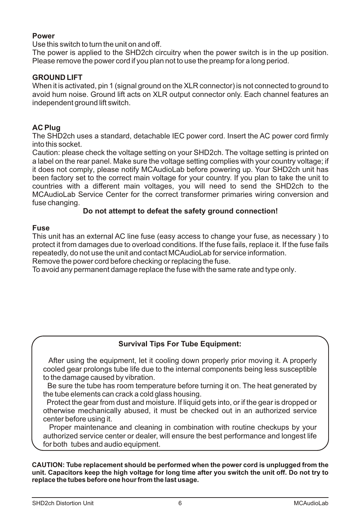#### **Power**

Use this switch to turn the unit on and off.

The power is applied to the SHD2ch circuitry when the power switch is in the up position. Please remove the power cord if you plan not to use the preamp for a long period.

#### **GROUND LIFT**

When it is activated, pin 1 (signal ground on the  $XLR$  connector) is not connected to ground to avoid hum noise. Ground lift acts on XLR output connector only. Each channel features an independent ground lift switch.

#### **AC Plug**

The SHD2ch uses a standard, detachable IEC power cord. Insert the AC power cord firmly into this socket.

Caution: please check the voltage setting on your SHD2ch. The voltage setting is printed on a label on the rear panel. Make sure the voltage setting complies with your country voltage; if it does not comply, please notify MCAudioLab before powering up. Your SHD2ch unit has been factory set to the correct main voltage for your country. If you plan to take the unit to countries with a different main voltages, you will need to send the SHD2ch to the MCAudioLab Service Center for the correct transformer primaries wiring conversion and fuse changing.

#### **Do not attempt to defeat the safety ground connection!**

#### **Fuse**

This unit has an external AC line fuse (easy access to change your fuse, as necessary ) to protect it from damages due to overload conditions. If the fuse fails, replace it. If the fuse fails repeatedly, do not use the unit and contact MCAudioLab for service information.

Remove the power cord before checking or replacing the fuse.

To avoid any permanent damage replace the fuse with the same rate and type only.

#### **Survival Tips For Tube Equipment:**

 After using the equipment, let it cooling down properly prior moving it. A properly cooled gear prolongs tube life due to the internal components being less susceptible to the damage caused by vibration.

Be sure the tube has room temperature before turning it on. The heat generated by the tube elements can crack a cold glass housing.

Protect the gear from dust and moisture. If liquid gets into, or if the gear is dropped or otherwise mechanically abused, it must be checked out in an authorized service center before using it.

Proper maintenance and cleaning in combination with routine checkups by your authorized service center or dealer, will ensure the best performance and longest life for both tubes and audio equipment.

**CAUTION: Tube replacement should be performed when the power cord is unplugged from the unit. Capacitors keep the high voltage for long time after you switch the unit off. Do not try to replace the tubes before one hour from the last usage.**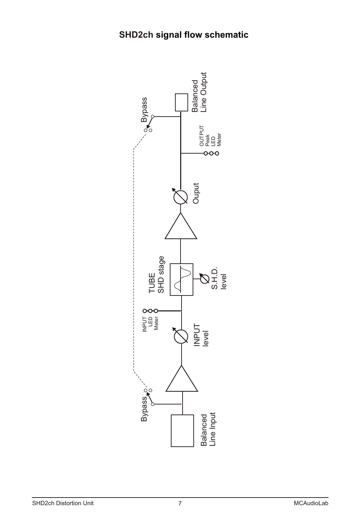